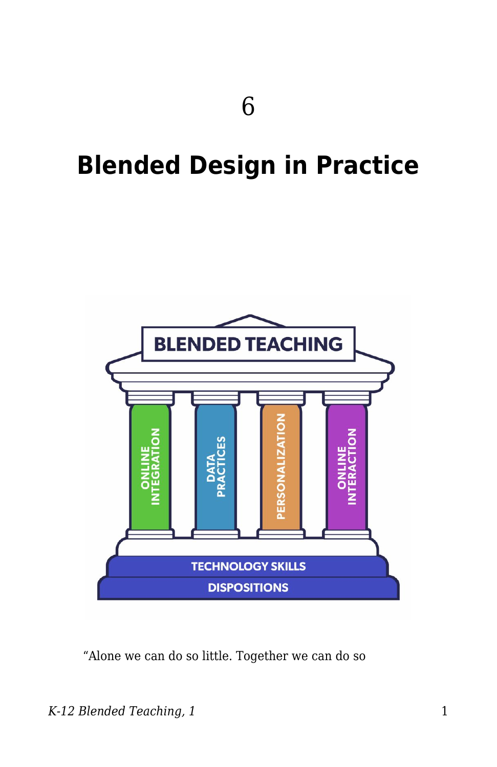# **Blended Design in Practice**



"Alone we can do so little. Together we can do so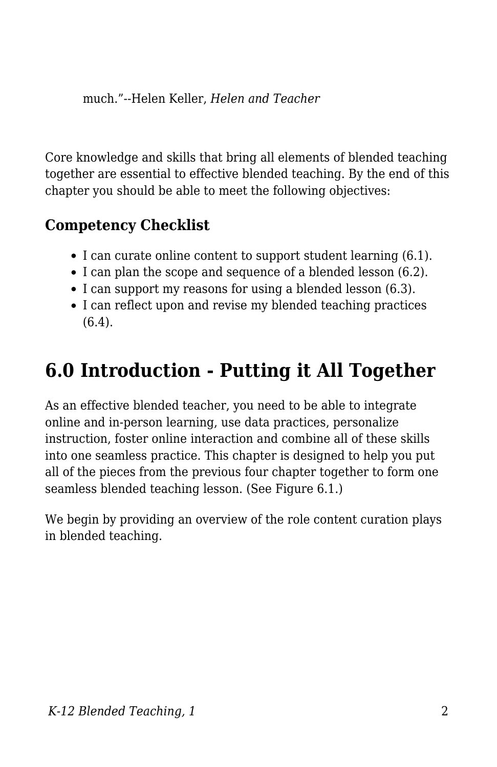much."--Helen Keller, *Helen and Teacher*

Core knowledge and skills that bring all elements of blended teaching together are essential to effective blended teaching. By the end of this chapter you should be able to meet the following objectives:

### **Competency Checklist**

- I can curate online content to support student learning (6.1).
- I can plan the scope and sequence of a blended lesson (6.2).
- I can support my reasons for using a blended lesson (6.3).
- I can reflect upon and revise my blended teaching practices (6.4).

## **6.0 Introduction - Putting it All Together**

As an effective blended teacher, you need to be able to integrate online and in-person learning, use data practices, personalize instruction, foster online interaction and combine all of these skills into one seamless practice. This chapter is designed to help you put all of the pieces from the previous four chapter together to form one seamless blended teaching lesson. (See Figure 6.1.)

We begin by providing an overview of the role content curation plays in blended teaching.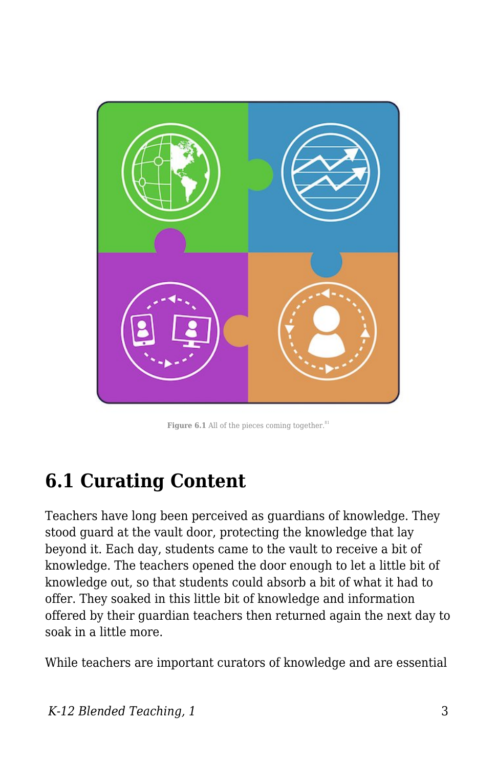

**Figure 6.1** All of the pieces coming together. $81$ 

## **6.1 Curating Content**

Teachers have long been perceived as guardians of knowledge. They stood guard at the vault door, protecting the knowledge that lay beyond it. Each day, students came to the vault to receive a bit of knowledge. The teachers opened the door enough to let a little bit of knowledge out, so that students could absorb a bit of what it had to offer. They soaked in this little bit of knowledge and information offered by their guardian teachers then returned again the next day to soak in a little more.

While teachers are important curators of knowledge and are essential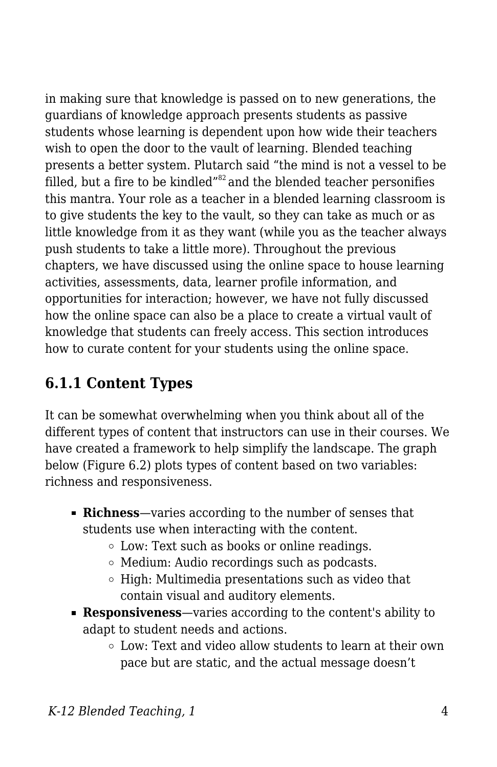in making sure that knowledge is passed on to new generations, the guardians of knowledge approach presents students as passive students whose learning is dependent upon how wide their teachers wish to open the door to the vault of learning. Blended teaching presents a better system. Plutarch said "the mind is not a vessel to be filled, but a fire to be kindled $^{\prime\prime\prime2}$  and the blended teacher personifies this mantra. Your role as a teacher in a blended learning classroom is to give students the key to the vault, so they can take as much or as little knowledge from it as they want (while you as the teacher always push students to take a little more). Throughout the previous chapters, we have discussed using the online space to house learning activities, assessments, data, learner profile information, and opportunities for interaction; however, we have not fully discussed how the online space can also be a place to create a virtual vault of knowledge that students can freely access. This section introduces how to curate content for your students using the online space.

### **6.1.1 Content Types**

It can be somewhat overwhelming when you think about all of the different types of content that instructors can use in their courses. We have created a framework to help simplify the landscape. The graph below (Figure 6.2) plots types of content based on two variables: richness and responsiveness.

- **Richness**—varies according to the number of senses that students use when interacting with the content.
	- Low: Text such as books or online readings.
	- Medium: Audio recordings such as podcasts.
	- $\circ$  High: Multimedia presentations such as video that contain visual and auditory elements.
- **Responsiveness**—varies according to the content's ability to adapt to student needs and actions.
	- Low: Text and video allow students to learn at their own pace but are static, and the actual message doesn't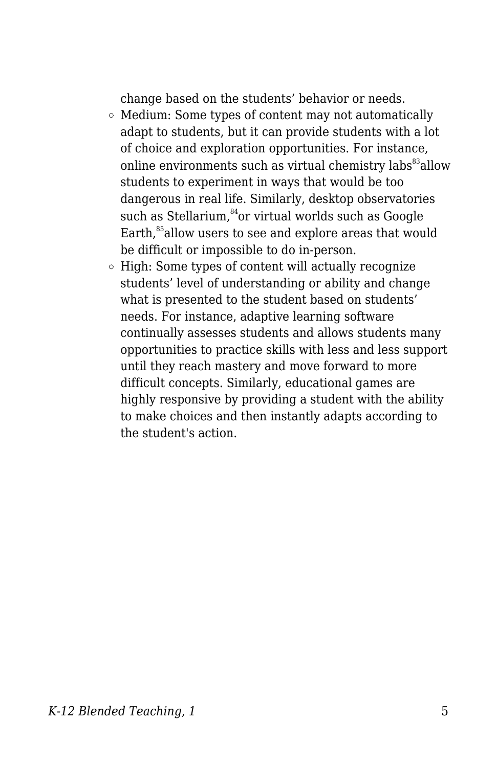change based on the students' behavior or needs.

- $\circ$  Medium: Some types of content may not automatically adapt to students, but it can provide students with a lot of choice and exploration opportunities. For instance, online environments such as virtual chemistry labs<sup>83</sup> allow students to experiment in ways that would be too dangerous in real life. Similarly, desktop observatories such as Stellarium,<sup>84</sup>or virtual worlds such as Google Earth.<sup>85</sup>allow users to see and explore areas that would be difficult or impossible to do in-person.
- $\circ$  High: Some types of content will actually recognize students' level of understanding or ability and change what is presented to the student based on students' needs. For instance, adaptive learning software continually assesses students and allows students many opportunities to practice skills with less and less support until they reach mastery and move forward to more difficult concepts. Similarly, educational games are highly responsive by providing a student with the ability to make choices and then instantly adapts according to the student's action.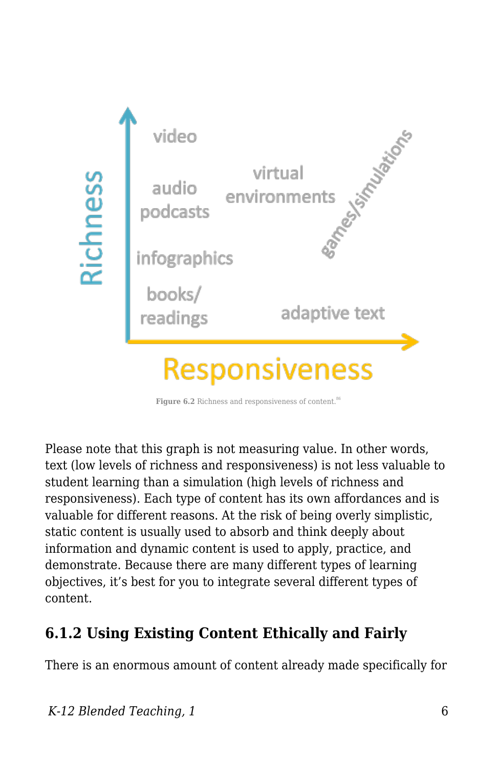

Figure 6.2 Richness and responsiveness of content.<sup>86</sup>

Please note that this graph is not measuring value. In other words, text (low levels of richness and responsiveness) is not less valuable to student learning than a simulation (high levels of richness and responsiveness). Each type of content has its own affordances and is valuable for different reasons. At the risk of being overly simplistic, static content is usually used to absorb and think deeply about information and dynamic content is used to apply, practice, and demonstrate. Because there are many different types of learning objectives, it's best for you to integrate several different types of content.

### **6.1.2 Using Existing Content Ethically and Fairly**

There is an enormous amount of content already made specifically for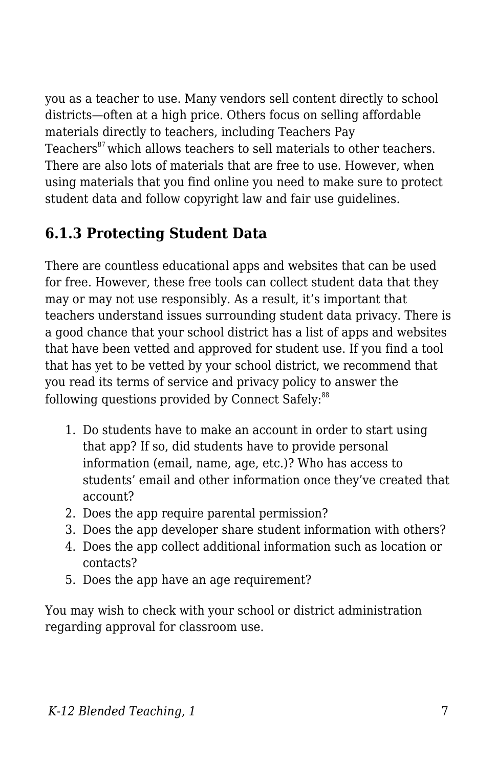you as a teacher to use. Many vendors sell content directly to school districts—often at a high price. Others focus on selling affordable materials directly to teachers, including Teachers Pay Teachers<sup>87</sup> which allows teachers to sell materials to other teachers. There are also lots of materials that are free to use. However, when using materials that you find online you need to make sure to protect student data and follow copyright law and fair use guidelines.

## **6.1.3 Protecting Student Data**

There are countless educational apps and websites that can be used for free. However, these free tools can collect student data that they may or may not use responsibly. As a result, it's important that teachers understand issues surrounding student data privacy. There is a good chance that your school district has a list of apps and websites that have been vetted and approved for student use. If you find a tool that has yet to be vetted by your school district, we recommend that you read its terms of service and privacy policy to answer the following questions provided by Connect Safely: $88$ 

- 1. Do students have to make an account in order to start using that app? If so, did students have to provide personal information (email, name, age, etc.)? Who has access to students' email and other information once they've created that account?
- 2. Does the app require parental permission?
- 3. Does the app developer share student information with others?
- 4. Does the app collect additional information such as location or contacts?
- 5. Does the app have an age requirement?

You may wish to check with your school or district administration regarding approval for classroom use.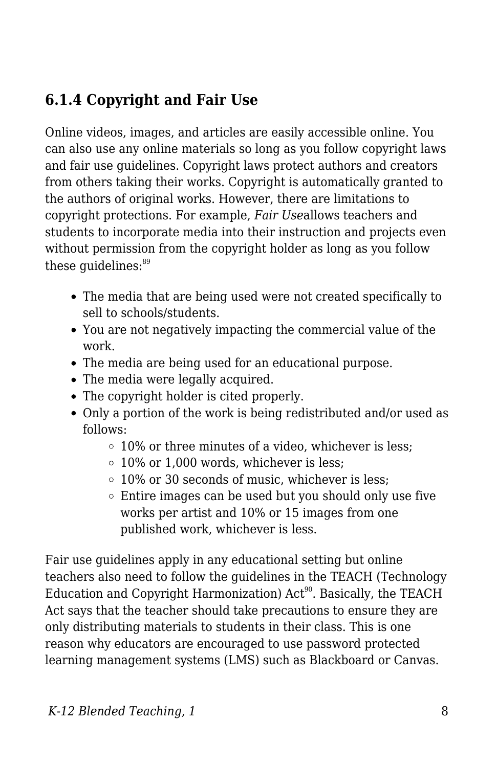### **6.1.4 Copyright and Fair Use**

Online videos, images, and articles are easily accessible online. You can also use any online materials so long as you follow copyright laws and fair use guidelines. Copyright laws protect authors and creators from others taking their works. Copyright is automatically granted to the authors of original works. However, there are limitations to copyright protections. For example, *Fair Use*allows teachers and students to incorporate media into their instruction and projects even without permission from the copyright holder as long as you follow these quidelines: $89$ 

- The media that are being used were not created specifically to sell to schools/students.
- You are not negatively impacting the commercial value of the work.
- The media are being used for an educational purpose.
- The media were legally acquired.
- The copyright holder is cited properly.
- Only a portion of the work is being redistributed and/or used as follows:
	- $\circ$  10% or three minutes of a video, whichever is less;
	- $\circ$  10% or 1,000 words, whichever is less:
	- 10% or 30 seconds of music, whichever is less;
	- $\circ$  Entire images can be used but you should only use five works per artist and 10% or 15 images from one published work, whichever is less.

Fair use guidelines apply in any educational setting but online teachers also need to follow the guidelines in the TEACH (Technology Education and Copyright Harmonization)  $Act<sup>90</sup>$ . Basically, the TEACH Act says that the teacher should take precautions to ensure they are only distributing materials to students in their class. This is one reason why educators are encouraged to use password protected learning management systems (LMS) such as Blackboard or Canvas.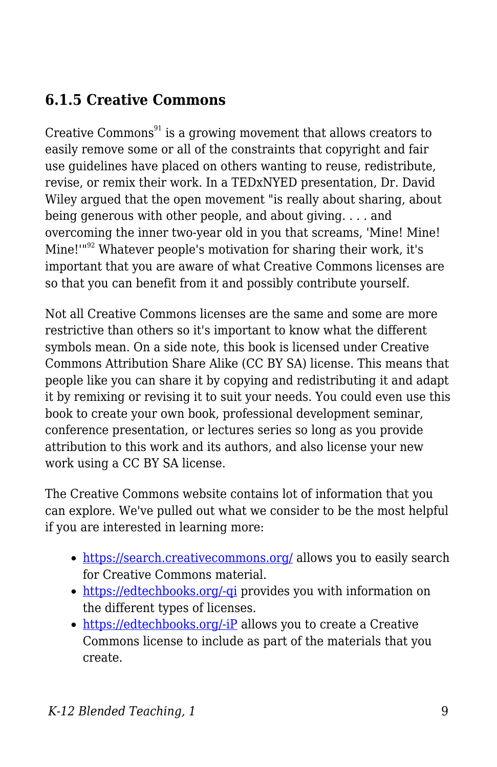### **6.1.5 Creative Commons**

Creative Commons $91$  is a growing movement that allows creators to easily remove some or all of the constraints that copyright and fair use guidelines have placed on others wanting to reuse, redistribute, revise, or remix their work. In a TEDxNYED presentation, Dr. David Wiley argued that the open movement "is really about sharing, about being generous with other people, and about giving. . . . and overcoming the inner two-year old in you that screams, 'Mine! Mine! Mine!"<sup>92</sup> Whatever people's motivation for sharing their work, it's important that you are aware of what Creative Commons licenses are so that you can benefit from it and possibly contribute yourself.

Not all Creative Commons licenses are the same and some are more restrictive than others so it's important to know what the different symbols mean. On a side note, this book is licensed under Creative Commons Attribution Share Alike (CC BY SA) license. This means that people like you can share it by copying and redistributing it and adapt it by remixing or revising it to suit your needs. You could even use this book to create your own book, professional development seminar, conference presentation, or lectures series so long as you provide attribution to this work and its authors, and also license your new work using a CC BY SA license.

The Creative Commons website contains lot of information that you can explore. We've pulled out what we consider to be the most helpful if you are interested in learning more:

- <https://search.creativecommons.org/> allows you to easily search for Creative Commons material.
- [https://edtechbooks.org/-qi](https://creativecommons.org/licenses/) provides you with information on the different types of licenses.
- [https://edtechbooks.org/-iP](https://creativecommons.org/choose/) allows you to create a Creative Commons license to include as part of the materials that you create.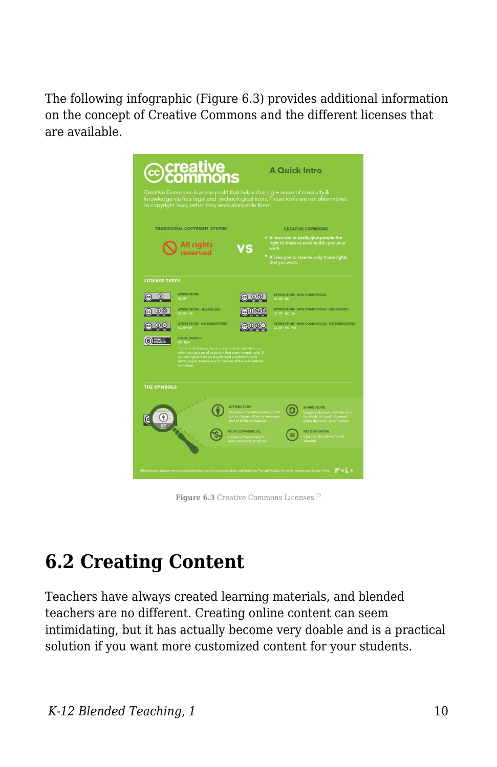The following infographic (Figure 6.3) provides additional information on the concept of Creative Commons and the different licenses that are available.

| <b>@</b> Creative<br>©Commons<br><b>A Quick Intro</b><br>Creative Commons is a non-profit that helps sharing + reuse of creativity &<br>knowledge via free legal and technological tools. These tools are not alternatives<br>to copyright laws, rather they work alongside them. |                                                                                                                                                                                                                                                                                                                                                                                                                                           |                                                                                                                                                                                                                   |                                                                                                                                                                                                                                                                              |  |
|-----------------------------------------------------------------------------------------------------------------------------------------------------------------------------------------------------------------------------------------------------------------------------------|-------------------------------------------------------------------------------------------------------------------------------------------------------------------------------------------------------------------------------------------------------------------------------------------------------------------------------------------------------------------------------------------------------------------------------------------|-------------------------------------------------------------------------------------------------------------------------------------------------------------------------------------------------------------------|------------------------------------------------------------------------------------------------------------------------------------------------------------------------------------------------------------------------------------------------------------------------------|--|
| <b>TRADITIONAL COPYRIGHT SYSTEM</b>                                                                                                                                                                                                                                               |                                                                                                                                                                                                                                                                                                                                                                                                                                           | <b>CREATIVE COMMONS</b>                                                                                                                                                                                           |                                                                                                                                                                                                                                                                              |  |
|                                                                                                                                                                                                                                                                                   | All rights<br>reserved                                                                                                                                                                                                                                                                                                                                                                                                                    |                                                                                                                                                                                                                   | . Allows you to easily give people the<br>right to share or even build upon your<br>work<br>* Allows you to reserve only those rights<br>that you want.                                                                                                                      |  |
| <b>LICENSE TYPES</b>                                                                                                                                                                                                                                                              |                                                                                                                                                                                                                                                                                                                                                                                                                                           |                                                                                                                                                                                                                   |                                                                                                                                                                                                                                                                              |  |
| Œ<br>$\odot$<br>$(f)$ $(f)$<br><b>DOMAIN</b><br><b>THE SYMBOLS</b>                                                                                                                                                                                                                | <b>ATTRIBUTION</b><br>CC BY<br><b>ATTRIBUTION - SHAREAUKE</b><br>CC BY-SA<br><b>ATTRIBUTION - NO DERIVATIVES</b><br><b>CC BY ND</b><br><b>PUBLIC DOMAIN</b><br>CC.7 <sub>0</sub><br>This is not a "licence", but a "public domain declation", in<br>which you give up all copyright (but retain 'moral rights' if<br>you can't give them up in your legal jurisdiction), and<br>allow people to make any kind of use of the<br>conditions | (1)(5)(0)<br>നജര                                                                                                                                                                                                  | <b>ATTRIBUTION - NON COMMERCIAL</b><br>CC BY-ND<br><b>ATTRIBUTION - NON COMMERCIAL - SHAREALIKE</b><br>CC BY-NC-SA<br>ATTRIBUTION - NON COMMERCIAL - NO DERIVATIVES<br>CC BY-NC-ND                                                                                           |  |
| All information present here is sources                                                                                                                                                                                                                                           | <b>CALL</b>                                                                                                                                                                                                                                                                                                                                                                                                                               | <b>ATTRIBUTION</b><br>Requires acknowledgement of th<br>author / source (this is a necessar<br>part of all the six licences)<br><b>NON COMMERCIAL</b><br>.<br>Usage is allowed only for<br>non-commercial purpose | <b>SHARE-ALIKE</b><br>Usage is allowed only if the work<br>for which it is used is licensed<br>under the same 'open' licence<br><b>NO DERIVATIVE</b><br>Creating 'derivatives' is not<br>$F - L -$<br>ith help from Pranesh Prakash, Centre for Internet and Society - India |  |

Figure 6.3 Creative Commons Licenses.<sup>93</sup>

## **6.2 Creating Content**

Teachers have always created learning materials, and blended teachers are no different. Creating online content can seem intimidating, but it has actually become very doable and is a practical solution if you want more customized content for your students.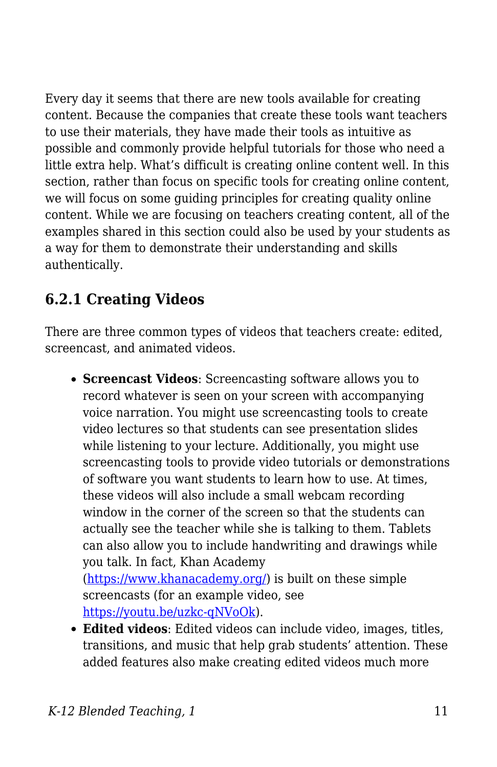Every day it seems that there are new tools available for creating content. Because the companies that create these tools want teachers to use their materials, they have made their tools as intuitive as possible and commonly provide helpful tutorials for those who need a little extra help. What's difficult is creating online content well. In this section, rather than focus on specific tools for creating online content, we will focus on some guiding principles for creating quality online content. While we are focusing on teachers creating content, all of the examples shared in this section could also be used by your students as a way for them to demonstrate their understanding and skills authentically.

## **6.2.1 Creating Videos**

There are three common types of videos that teachers create: edited, screencast, and animated videos.

- **Screencast Videos**: Screencasting software allows you to record whatever is seen on your screen with accompanying voice narration. You might use screencasting tools to create video lectures so that students can see presentation slides while listening to your lecture. Additionally, you might use screencasting tools to provide video tutorials or demonstrations of software you want students to learn how to use. At times, these videos will also include a small webcam recording window in the corner of the screen so that the students can actually see the teacher while she is talking to them. Tablets can also allow you to include handwriting and drawings while you talk. In fact, Khan Academy (<https://www.khanacademy.org/>) is built on these simple screencasts (for an example video, see [https://youtu.be/uzkc-qNVoOk\)](https://youtu.be/uzkc-qNVoOk).
- **Edited videos**: Edited videos can include video, images, titles, transitions, and music that help grab students' attention. These added features also make creating edited videos much more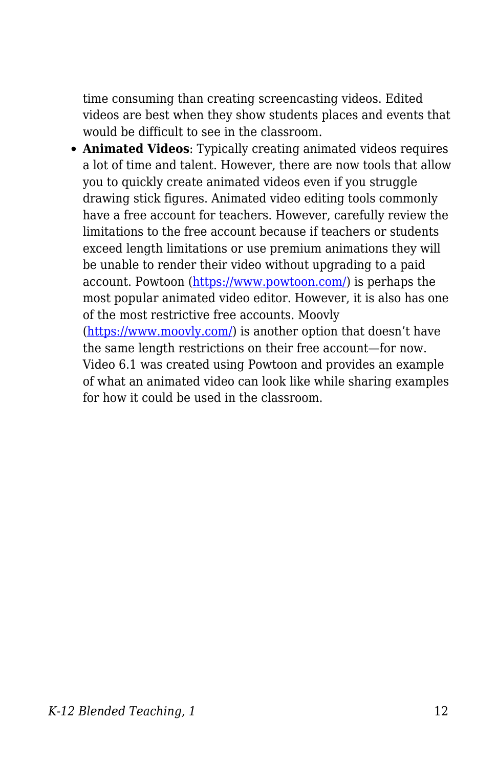time consuming than creating screencasting videos. Edited videos are best when they show students places and events that would be difficult to see in the classroom.

**Animated Videos**: Typically creating animated videos requires a lot of time and talent. However, there are now tools that allow you to quickly create animated videos even if you struggle drawing stick figures. Animated video editing tools commonly have a free account for teachers. However, carefully review the limitations to the free account because if teachers or students exceed length limitations or use premium animations they will be unable to render their video without upgrading to a paid account. Powtoon (<https://www.powtoon.com/>) is perhaps the most popular animated video editor. However, it is also has one of the most restrictive free accounts. Moovly

(<https://www.moovly.com/>) is another option that doesn't have the same length restrictions on their free account—for now. Video 6.1 was created using Powtoon and provides an example of what an animated video can look like while sharing examples for how it could be used in the classroom.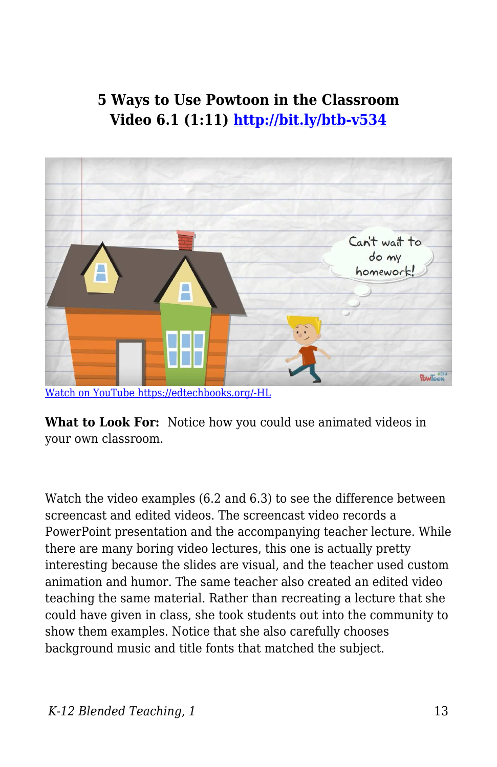#### **5 Ways to Use Powtoon in the Classroom Video 6.1 (1:11)<http://bit.ly/btb-v534>**



[Watch on YouTube https://edtechbooks.org/-HL](https://www.youtube.com/embed/f-fXKOIWMqI?autoplay=1&rel=0&showinfo=0&modestbranding=1)

**What to Look For:** Notice how you could use animated videos in your own classroom.

Watch the video examples (6.2 and 6.3) to see the difference between screencast and edited videos. The screencast video records a PowerPoint presentation and the accompanying teacher lecture. While there are many boring video lectures, this one is actually pretty interesting because the slides are visual, and the teacher used custom animation and humor. The same teacher also created an edited video teaching the same material. Rather than recreating a lecture that she could have given in class, she took students out into the community to show them examples. Notice that she also carefully chooses background music and title fonts that matched the subject.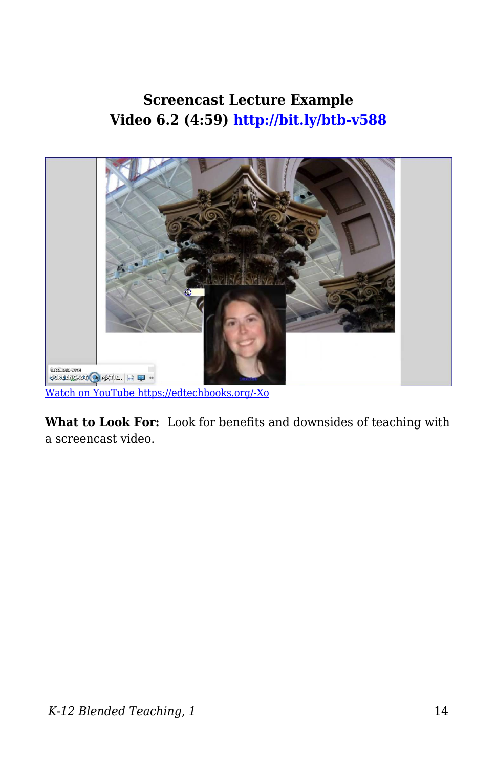#### **Screencast Lecture Example Video 6.2 (4:59)<http://bit.ly/btb-v588>**



[Watch on YouTube https://edtechbooks.org/-Xo](https://www.youtube.com/embed/q6nkS6aNnMU?autoplay=1&rel=0&showinfo=0&modestbranding=1)

**What to Look For:** Look for benefits and downsides of teaching with a screencast video.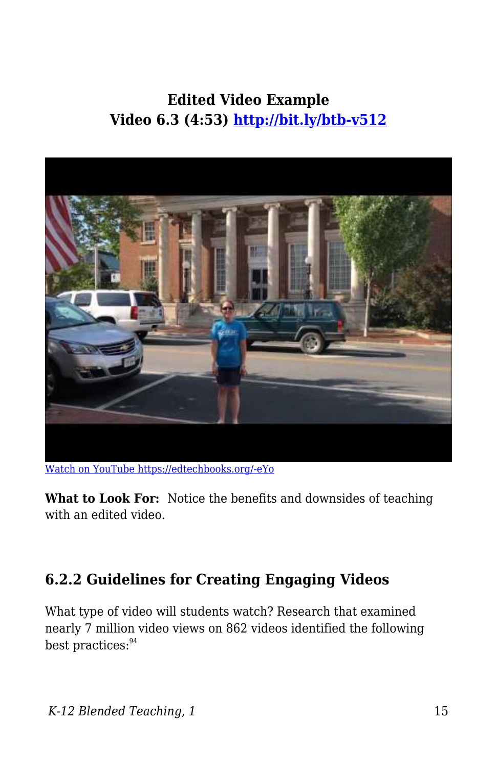## **Edited Video Example Video 6.3 (4:53)<http://bit.ly/btb-v512>**



[Watch on YouTube https://edtechbooks.org/-eYo](https://www.youtube.com/embed/AGHOU-5tBO8?autoplay=1&rel=0&showinfo=0&modestbranding=1)

**What to Look For:** Notice the benefits and downsides of teaching with an edited video.

#### **6.2.2 Guidelines for Creating Engaging Videos**

What type of video will students watch? Research that examined nearly 7 million video views on 862 videos identified the following best practices: <sup>94</sup>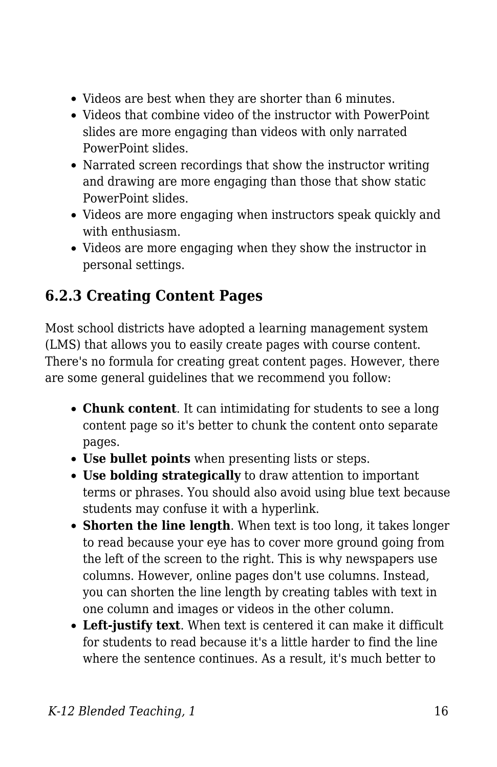- Videos are best when they are shorter than 6 minutes.
- Videos that combine video of the instructor with PowerPoint slides are more engaging than videos with only narrated PowerPoint slides.
- Narrated screen recordings that show the instructor writing and drawing are more engaging than those that show static PowerPoint slides.
- Videos are more engaging when instructors speak quickly and with enthusiasm.
- Videos are more engaging when they show the instructor in personal settings.

## **6.2.3 Creating Content Pages**

Most school districts have adopted a learning management system (LMS) that allows you to easily create pages with course content. There's no formula for creating great content pages. However, there are some general guidelines that we recommend you follow:

- **Chunk content**. It can intimidating for students to see a long content page so it's better to chunk the content onto separate pages.
- **Use bullet points** when presenting lists or steps.
- **Use bolding strategically** to draw attention to important terms or phrases. You should also avoid using blue text because students may confuse it with a hyperlink.
- **Shorten the line length**. When text is too long, it takes longer to read because your eye has to cover more ground going from the left of the screen to the right. This is why newspapers use columns. However, online pages don't use columns. Instead, you can shorten the line length by creating tables with text in one column and images or videos in the other column.
- **Left-justify text**. When text is centered it can make it difficult for students to read because it's a little harder to find the line where the sentence continues. As a result, it's much better to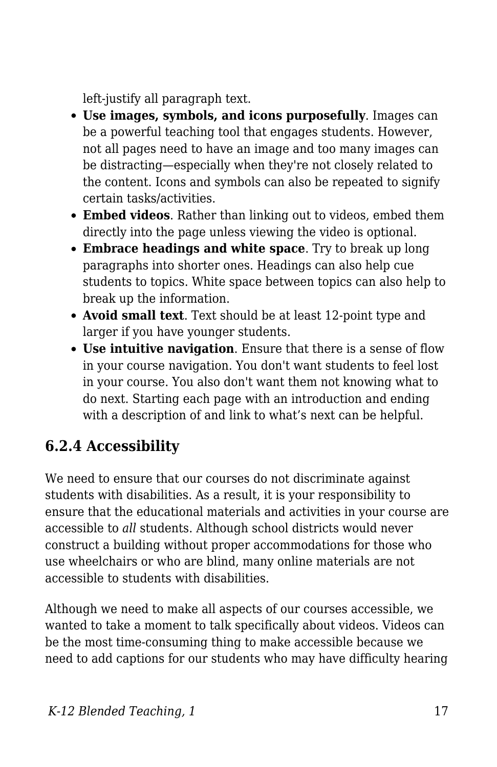left-justify all paragraph text.

- **Use images, symbols, and icons purposefully**. Images can be a powerful teaching tool that engages students. However, not all pages need to have an image and too many images can be distracting—especially when they're not closely related to the content. Icons and symbols can also be repeated to signify certain tasks/activities.
- **Embed videos**. Rather than linking out to videos, embed them directly into the page unless viewing the video is optional.
- **Embrace headings and white space**. Try to break up long paragraphs into shorter ones. Headings can also help cue students to topics. White space between topics can also help to break up the information.
- **Avoid small text**. Text should be at least 12-point type and larger if you have younger students.
- **Use intuitive navigation**. Ensure that there is a sense of flow in your course navigation. You don't want students to feel lost in your course. You also don't want them not knowing what to do next. Starting each page with an introduction and ending with a description of and link to what's next can be helpful.

## **6.2.4 Accessibility**

We need to ensure that our courses do not discriminate against students with disabilities. As a result, it is your responsibility to ensure that the educational materials and activities in your course are accessible to *all* students. Although school districts would never construct a building without proper accommodations for those who use wheelchairs or who are blind, many online materials are not accessible to students with disabilities.

Although we need to make all aspects of our courses accessible, we wanted to take a moment to talk specifically about videos. Videos can be the most time-consuming thing to make accessible because we need to add captions for our students who may have difficulty hearing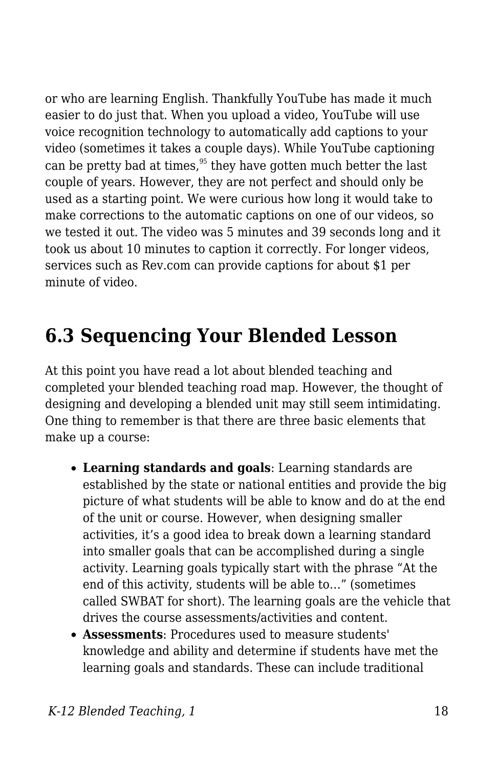or who are learning English. Thankfully YouTube has made it much easier to do just that. When you upload a video, YouTube will use voice recognition technology to automatically add captions to your video (sometimes it takes a couple days). While YouTube captioning can be pretty bad at times, $95$  they have gotten much better the last couple of years. However, they are not perfect and should only be used as a starting point. We were curious how long it would take to make corrections to the automatic captions on one of our videos, so we tested it out. The video was 5 minutes and 39 seconds long and it took us about 10 minutes to caption it correctly. For longer videos, services such as Rev.com can provide captions for about \$1 per minute of video.

## **6.3 Sequencing Your Blended Lesson**

At this point you have read a lot about blended teaching and completed your blended teaching road map. However, the thought of designing and developing a blended unit may still seem intimidating. One thing to remember is that there are three basic elements that make up a course:

- **Learning standards and goals**: Learning standards are established by the state or national entities and provide the big picture of what students will be able to know and do at the end of the unit or course. However, when designing smaller activities, it's a good idea to break down a learning standard into smaller goals that can be accomplished during a single activity. Learning goals typically start with the phrase "At the end of this activity, students will be able to…" (sometimes called SWBAT for short). The learning goals are the vehicle that drives the course assessments/activities and content.
- **Assessments**: Procedures used to measure students' knowledge and ability and determine if students have met the learning goals and standards. These can include traditional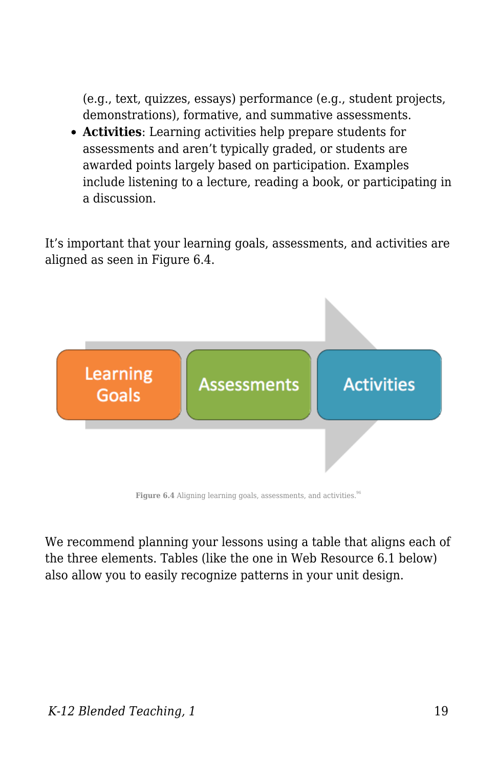(e.g., text, quizzes, essays) performance (e.g., student projects, demonstrations), formative, and summative assessments.

**Activities**: Learning activities help prepare students for assessments and aren't typically graded, or students are awarded points largely based on participation. Examples include listening to a lecture, reading a book, or participating in a discussion.

It's important that your learning goals, assessments, and activities are aligned as seen in Figure 6.4.



Figure 6.4 Aligning learning goals, assessments, and activities.<sup>96</sup>

We recommend planning your lessons using a table that aligns each of the three elements. Tables (like the one in Web Resource 6.1 below) also allow you to easily recognize patterns in your unit design.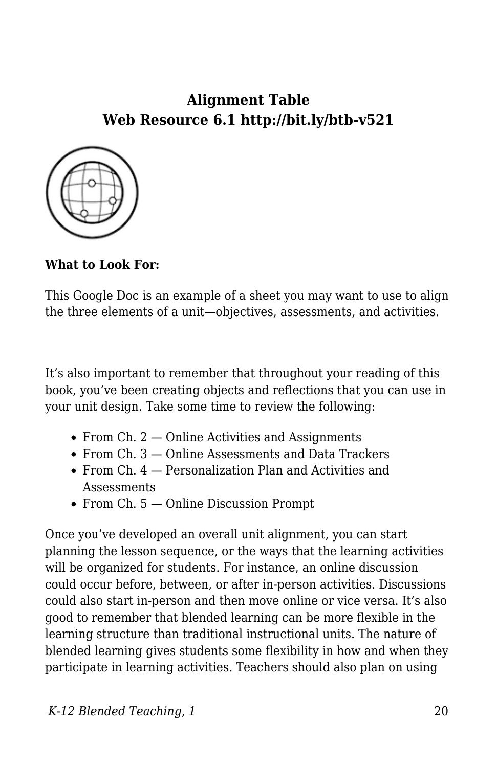#### **Alignment Table Web Resource 6.1 http://bit.ly/btb-v521**



**What to Look For:**

This Google Doc is an example of a sheet you may want to use to align the three elements of a unit—objectives, assessments, and activities.

It's also important to remember that throughout your reading of this book, you've been creating objects and reflections that you can use in your unit design. Take some time to review the following:

- From Ch.  $2 -$  Online Activities and Assignments
- From Ch. 3 Online Assessments and Data Trackers
- From Ch. 4 Personalization Plan and Activities and **Assessments**
- From Ch. 5 Online Discussion Prompt

Once you've developed an overall unit alignment, you can start planning the lesson sequence, or the ways that the learning activities will be organized for students. For instance, an online discussion could occur before, between, or after in-person activities. Discussions could also start in-person and then move online or vice versa. It's also good to remember that blended learning can be more flexible in the learning structure than traditional instructional units. The nature of blended learning gives students some flexibility in how and when they participate in learning activities. Teachers should also plan on using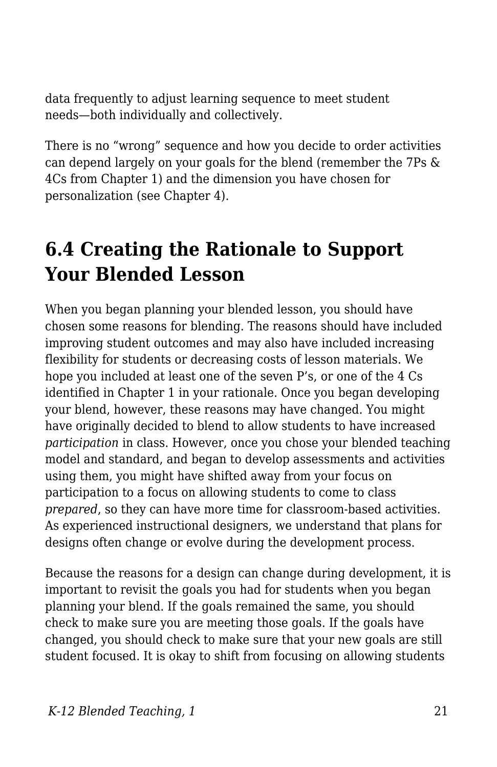data frequently to adjust learning sequence to meet student needs—both individually and collectively.

There is no "wrong" sequence and how you decide to order activities can depend largely on your goals for the blend (remember the 7Ps & 4Cs from Chapter 1) and the dimension you have chosen for personalization (see Chapter 4).

## **6.4 Creating the Rationale to Support Your Blended Lesson**

When you began planning your blended lesson, you should have chosen some reasons for blending. The reasons should have included improving student outcomes and may also have included increasing flexibility for students or decreasing costs of lesson materials. We hope you included at least one of the seven P's, or one of the 4 Cs identified in Chapter 1 in your rationale. Once you began developing your blend, however, these reasons may have changed. You might have originally decided to blend to allow students to have increased *participation* in class. However, once you chose your blended teaching model and standard, and began to develop assessments and activities using them, you might have shifted away from your focus on participation to a focus on allowing students to come to class *prepared*, so they can have more time for classroom-based activities. As experienced instructional designers, we understand that plans for designs often change or evolve during the development process.

Because the reasons for a design can change during development, it is important to revisit the goals you had for students when you began planning your blend. If the goals remained the same, you should check to make sure you are meeting those goals. If the goals have changed, you should check to make sure that your new goals are still student focused. It is okay to shift from focusing on allowing students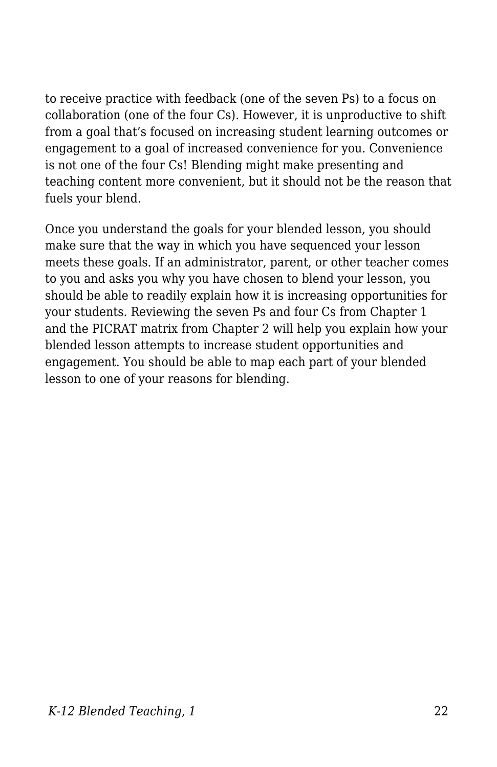to receive practice with feedback (one of the seven Ps) to a focus on collaboration (one of the four Cs). However, it is unproductive to shift from a goal that's focused on increasing student learning outcomes or engagement to a goal of increased convenience for you. Convenience is not one of the four Cs! Blending might make presenting and teaching content more convenient, but it should not be the reason that fuels your blend.

Once you understand the goals for your blended lesson, you should make sure that the way in which you have sequenced your lesson meets these goals. If an administrator, parent, or other teacher comes to you and asks you why you have chosen to blend your lesson, you should be able to readily explain how it is increasing opportunities for your students. Reviewing the seven Ps and four Cs from Chapter 1 and the PICRAT matrix from Chapter 2 will help you explain how your blended lesson attempts to increase student opportunities and engagement. You should be able to map each part of your blended lesson to one of your reasons for blending.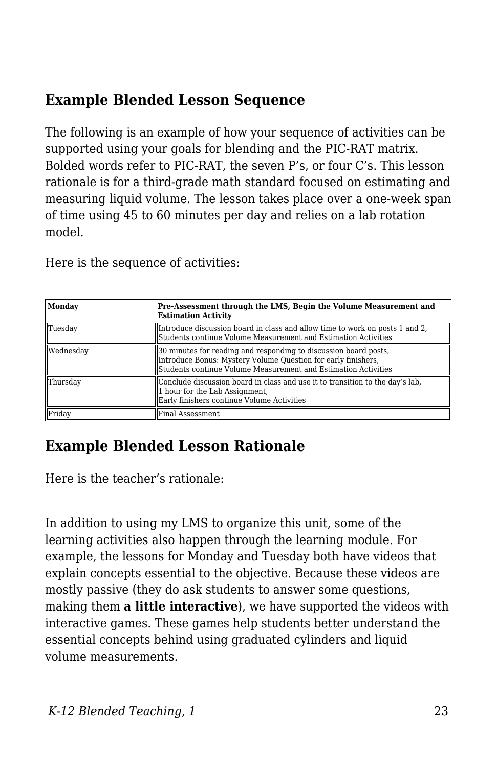### **Example Blended Lesson Sequence**

The following is an example of how your sequence of activities can be supported using your goals for blending and the PIC-RAT matrix. Bolded words refer to PIC-RAT, the seven P's, or four C's. This lesson rationale is for a third-grade math standard focused on estimating and measuring liquid volume. The lesson takes place over a one-week span of time using 45 to 60 minutes per day and relies on a lab rotation model.

Here is the sequence of activities:

| <b>Monday</b> | Pre-Assessment through the LMS, Begin the Volume Measurement and<br><b>Estimation Activity</b>                                                                                                      |  |
|---------------|-----------------------------------------------------------------------------------------------------------------------------------------------------------------------------------------------------|--|
| Tuesday       | Introduce discussion board in class and allow time to work on posts 1 and 2,<br>Students continue Volume Measurement and Estimation Activities                                                      |  |
| Wednesday     | 30 minutes for reading and responding to discussion board posts.<br>Introduce Bonus: Mystery Volume Question for early finishers.<br>Students continue Volume Measurement and Estimation Activities |  |
| Thursday      | Conclude discussion board in class and use it to transition to the day's lab,<br>1 hour for the Lab Assignment,<br>Early finishers continue Volume Activities                                       |  |
| Friday        | Final Assessment                                                                                                                                                                                    |  |

### **Example Blended Lesson Rationale**

Here is the teacher's rationale:

In addition to using my LMS to organize this unit, some of the learning activities also happen through the learning module. For example, the lessons for Monday and Tuesday both have videos that explain concepts essential to the objective. Because these videos are mostly passive (they do ask students to answer some questions, making them **a little interactive**), we have supported the videos with interactive games. These games help students better understand the essential concepts behind using graduated cylinders and liquid volume measurements.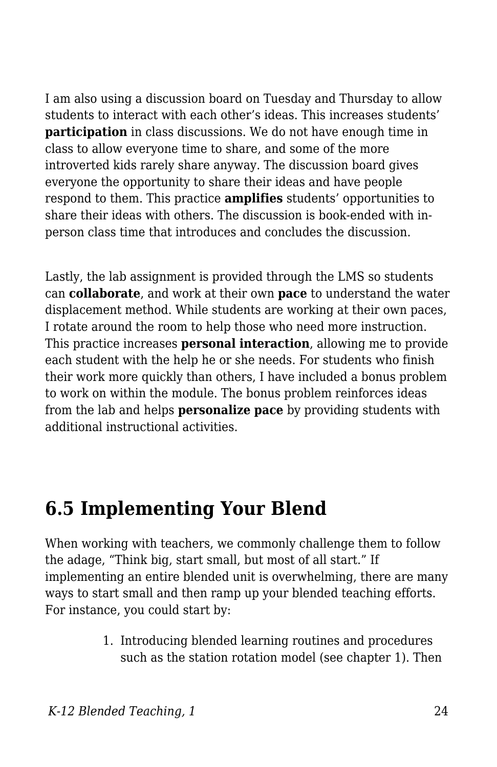I am also using a discussion board on Tuesday and Thursday to allow students to interact with each other's ideas. This increases students' **participation** in class discussions. We do not have enough time in class to allow everyone time to share, and some of the more introverted kids rarely share anyway. The discussion board gives everyone the opportunity to share their ideas and have people respond to them. This practice **amplifies** students' opportunities to share their ideas with others. The discussion is book-ended with inperson class time that introduces and concludes the discussion.

Lastly, the lab assignment is provided through the LMS so students can **collaborate**, and work at their own **pace** to understand the water displacement method. While students are working at their own paces, I rotate around the room to help those who need more instruction. This practice increases **personal interaction**, allowing me to provide each student with the help he or she needs. For students who finish their work more quickly than others, I have included a bonus problem to work on within the module. The bonus problem reinforces ideas from the lab and helps **personalize pace** by providing students with additional instructional activities.

## **6.5 Implementing Your Blend**

When working with teachers, we commonly challenge them to follow the adage, "Think big, start small, but most of all start." If implementing an entire blended unit is overwhelming, there are many ways to start small and then ramp up your blended teaching efforts. For instance, you could start by:

> 1. Introducing blended learning routines and procedures such as the station rotation model (see chapter 1). Then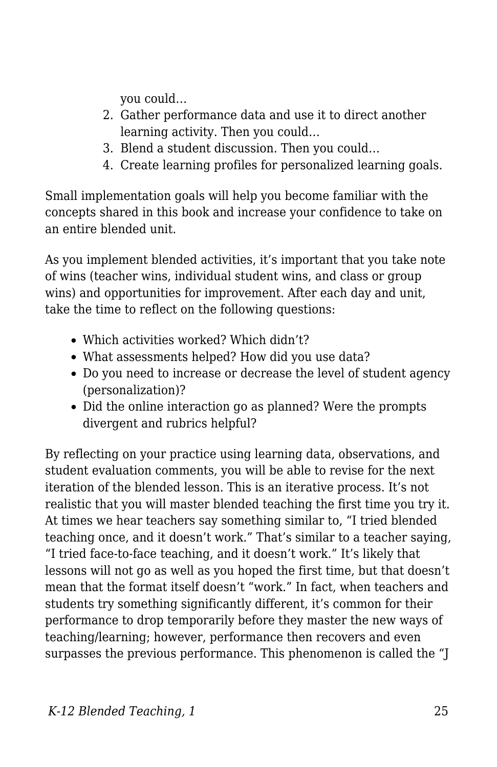you could…

- 2. Gather performance data and use it to direct another learning activity. Then you could…
- 3. Blend a student discussion. Then you could…
- 4. Create learning profiles for personalized learning goals.

Small implementation goals will help you become familiar with the concepts shared in this book and increase your confidence to take on an entire blended unit.

As you implement blended activities, it's important that you take note of wins (teacher wins, individual student wins, and class or group wins) and opportunities for improvement. After each day and unit, take the time to reflect on the following questions:

- Which activities worked? Which didn't?
- What assessments helped? How did you use data?
- Do you need to increase or decrease the level of student agency (personalization)?
- Did the online interaction go as planned? Were the prompts divergent and rubrics helpful?

By reflecting on your practice using learning data, observations, and student evaluation comments, you will be able to revise for the next iteration of the blended lesson. This is an iterative process. It's not realistic that you will master blended teaching the first time you try it. At times we hear teachers say something similar to, "I tried blended teaching once, and it doesn't work." That's similar to a teacher saying, "I tried face-to-face teaching, and it doesn't work." It's likely that lessons will not go as well as you hoped the first time, but that doesn't mean that the format itself doesn't "work." In fact, when teachers and students try something significantly different, it's common for their performance to drop temporarily before they master the new ways of teaching/learning; however, performance then recovers and even surpasses the previous performance. This phenomenon is called the "J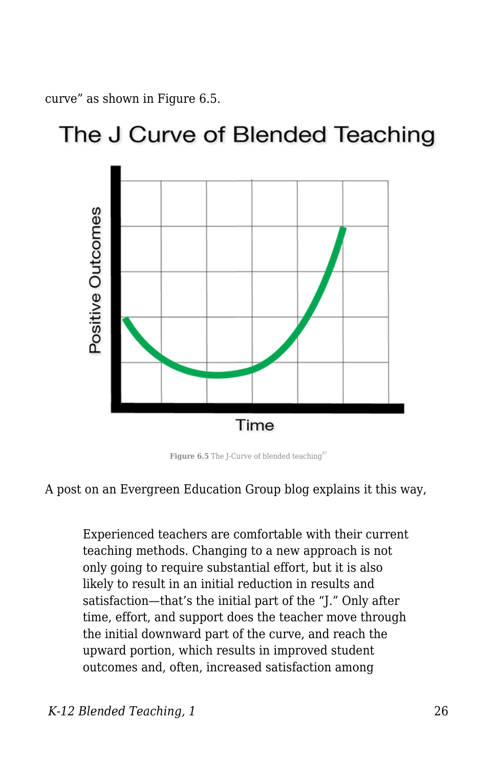curve" as shown in Figure 6.5.

## The J Curve of Blended Teaching



**Figure 6.5** The J-Curve of blended teaching $97$ 



Experienced teachers are comfortable with their current teaching methods. Changing to a new approach is not only going to require substantial effort, but it is also likely to result in an initial reduction in results and satisfaction—that's the initial part of the "J." Only after time, effort, and support does the teacher move through the initial downward part of the curve, and reach the upward portion, which results in improved student outcomes and, often, increased satisfaction among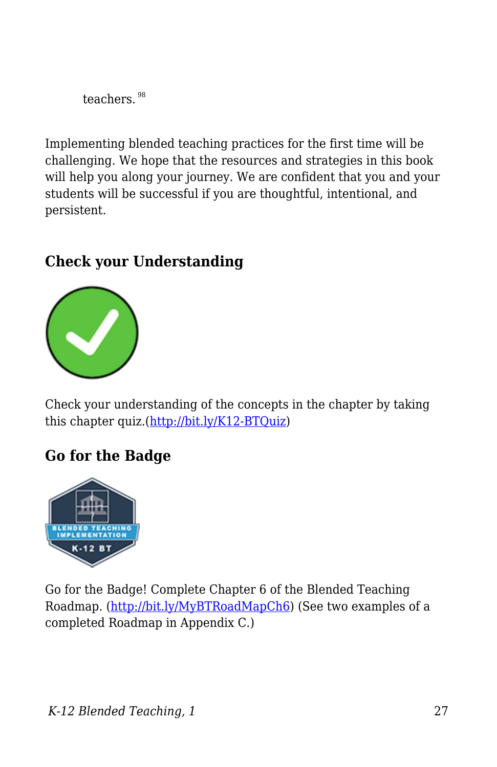teachers.<sup>98</sup>

Implementing blended teaching practices for the first time will be challenging. We hope that the resources and strategies in this book will help you along your journey. We are confident that you and your students will be successful if you are thoughtful, intentional, and persistent.

## **Check your Understanding**



Check your understanding of the concepts in the chapter by taking this chapter quiz.[\(http://bit.ly/K12-BTQuiz\)](http://bit.ly/K12-BTQuiz)

#### **Go for the Badge**



Go for the Badge! Complete Chapter 6 of the Blended Teaching Roadmap. [\(http://bit.ly/MyBTRoadMapCh6](http://bit.ly/MyBTRoadMapCh6)) (See two examples of a completed Roadmap in Appendix C.)